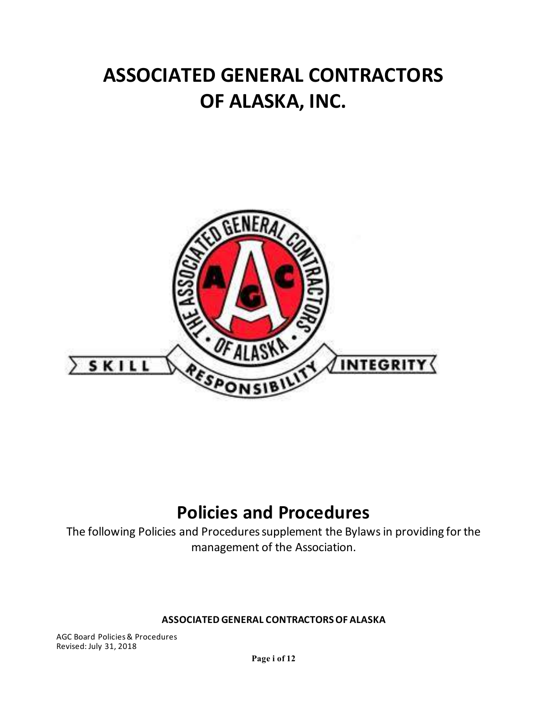# **ASSOCIATED GENERAL CONTRACTORS OF ALASKA, INC.**



## **Policies and Procedures**

The following Policies and Procedures supplement the Bylaws in providing for the management of the Association.

#### **ASSOCIATED GENERAL CONTRACTORS OF ALASKA**

AGC Board Policies & Procedures Revised: July 31, 2018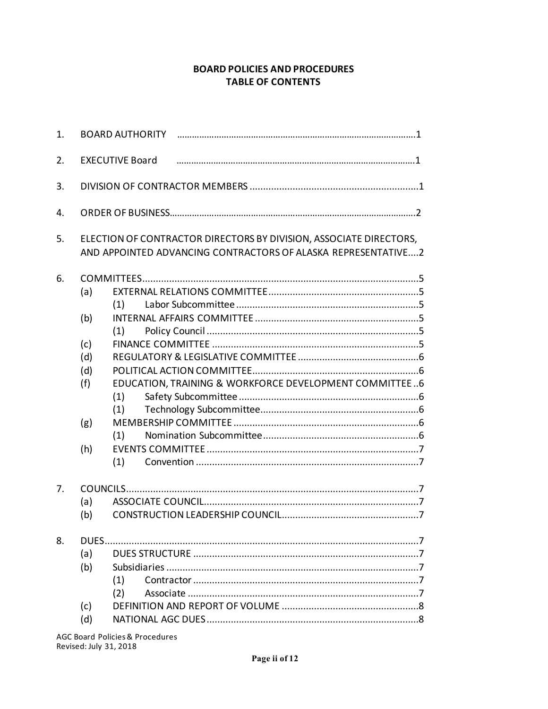#### **BOARD POLICIES AND PROCEDURES TABLE OF CONTENTS**

| 1.       |                                                      |                                                                                                                                     |  |  |  |  |  |  |
|----------|------------------------------------------------------|-------------------------------------------------------------------------------------------------------------------------------------|--|--|--|--|--|--|
| 2.       | <b>EXECUTIVE Board</b>                               |                                                                                                                                     |  |  |  |  |  |  |
| 3.       |                                                      |                                                                                                                                     |  |  |  |  |  |  |
| 4.       |                                                      |                                                                                                                                     |  |  |  |  |  |  |
| 5.       |                                                      | ELECTION OF CONTRACTOR DIRECTORS BY DIVISION, ASSOCIATE DIRECTORS,<br>AND APPOINTED ADVANCING CONTRACTORS OF ALASKA REPRESENTATIVE2 |  |  |  |  |  |  |
| 6.       | (a)<br>(b)<br>(c)<br>(d)<br>(d)<br>(f)<br>(g)<br>(h) | (1)<br>(1)<br>EDUCATION, TRAINING & WORKFORCE DEVELOPMENT COMMITTEE6<br>(1)<br>(1)<br>(1)<br>(1)                                    |  |  |  |  |  |  |
| 7.<br>8. | (a)<br>(b)<br>(a)<br>(b)                             |                                                                                                                                     |  |  |  |  |  |  |
|          | (c)<br>(d)                                           | (1)<br>(2)                                                                                                                          |  |  |  |  |  |  |

**AGC Board Policies & Procedures** Revised: July 31, 2018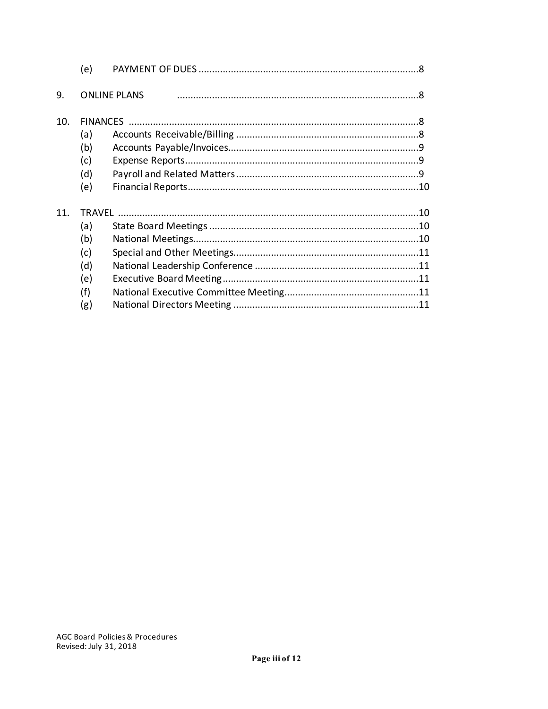|     | (e) |                     |  |
|-----|-----|---------------------|--|
| 9.  |     | <b>ONLINE PLANS</b> |  |
| 10. |     |                     |  |
|     | (a) |                     |  |
|     | (b) |                     |  |
|     | (c) |                     |  |
|     | (d) |                     |  |
|     | (e) |                     |  |
| 11  |     |                     |  |
|     | (a) |                     |  |
|     | (b) |                     |  |
|     | (c) |                     |  |
|     | (d) |                     |  |
|     | (e) |                     |  |
|     | (f) |                     |  |
|     | (g) |                     |  |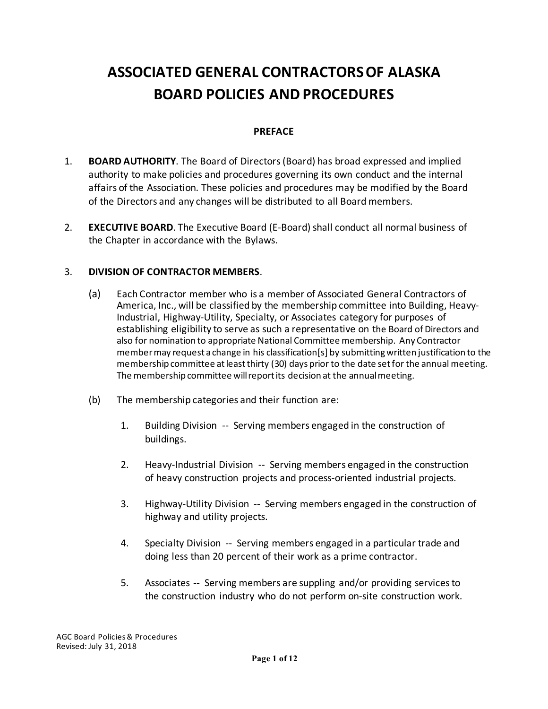### **ASSOCIATED GENERAL CONTRACTORS OF ALASKA BOARD POLICIES AND PROCEDURES**

#### **PREFACE**

- 1. **BOARD AUTHORITY**. The Board of Directors (Board) has broad expressed and implied authority to make policies and procedures governing its own conduct and the internal affairs of the Association. These policies and procedures may be modified by the Board of the Directors and any changes will be distributed to all Board members.
- 2. **EXECUTIVE BOARD**. The Executive Board (E-Board) shall conduct all normal business of the Chapter in accordance with the Bylaws.

#### 3. **DIVISION OF CONTRACTOR MEMBERS**.

- (a) Each Contractor member who is a member of Associated General Contractors of America, Inc., will be classified by the membership committee into Building, Heavy-Industrial, Highway-Utility, Specialty, or Associates category for purposes of establishing eligibility to serve as such a representative on the Board of Directors and also for nomination to appropriate National Committee membership. Any Contractor member may request a change in his classification[s] by submitting written justification to the membership committee at least thirty (30) days prior to the date set for the annual meeting. The membership committee will report its decision at the annual meeting.
- (b) The membership categories and their function are:
	- 1. Building Division -- Serving members engaged in the construction of buildings.
	- 2. Heavy-Industrial Division -- Serving members engaged in the construction of heavy construction projects and process-oriented industrial projects.
	- 3. Highway-Utility Division -- Serving members engaged in the construction of highway and utility projects.
	- 4. Specialty Division -- Serving members engaged in a particular trade and doing less than 20 percent of their work as a prime contractor.
	- 5. Associates -- Serving members are suppling and/or providing services to the construction industry who do not perform on-site construction work.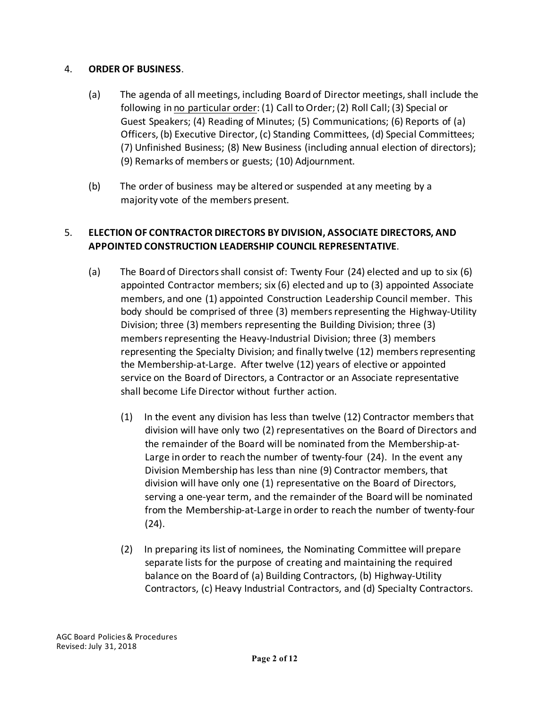#### 4. **ORDER OF BUSINESS**.

- (a) The agenda of all meetings, including Board of Director meetings, shall include the following in no particular order: (1) Call to Order; (2) Roll Call; (3) Special or Guest Speakers; (4) Reading of Minutes; (5) Communications; (6) Reports of (a) Officers, (b) Executive Director, (c) Standing Committees, (d) Special Committees; (7) Unfinished Business; (8) New Business (including annual election of directors); (9) Remarks of members or guests; (10) Adjournment.
- (b) The order of business may be altered or suspended at any meeting by a majority vote of the members present.

#### 5. **ELECTION OF CONTRACTOR DIRECTORS BY DIVISION, ASSOCIATE DIRECTORS, AND APPOINTED CONSTRUCTION LEADERSHIP COUNCIL REPRESENTATIVE**.

- (a) The Board of Directors shall consist of: Twenty Four (24) elected and up to six (6) appointed Contractor members; six (6) elected and up to (3) appointed Associate members, and one (1) appointed Construction Leadership Council member. This body should be comprised of three (3) members representing the Highway-Utility Division; three (3) members representing the Building Division; three (3) members representing the Heavy-Industrial Division; three (3) members representing the Specialty Division; and finally twelve (12) members representing the Membership-at-Large. After twelve (12) years of elective or appointed service on the Board of Directors, a Contractor or an Associate representative shall become Life Director without further action.
	- (1) In the event any division has less than twelve (12) Contractor members that division will have only two (2) representatives on the Board of Directors and the remainder of the Board will be nominated from the Membership-at-Large in order to reach the number of twenty-four (24). In the event any Division Membership has less than nine (9) Contractor members, that division will have only one (1) representative on the Board of Directors, serving a one-year term, and the remainder of the Board will be nominated from the Membership-at-Large in order to reach the number of twenty-four (24).
	- (2) In preparing its list of nominees, the Nominating Committee will prepare separate lists for the purpose of creating and maintaining the required balance on the Board of (a) Building Contractors, (b) Highway-Utility Contractors, (c) Heavy Industrial Contractors, and (d) Specialty Contractors.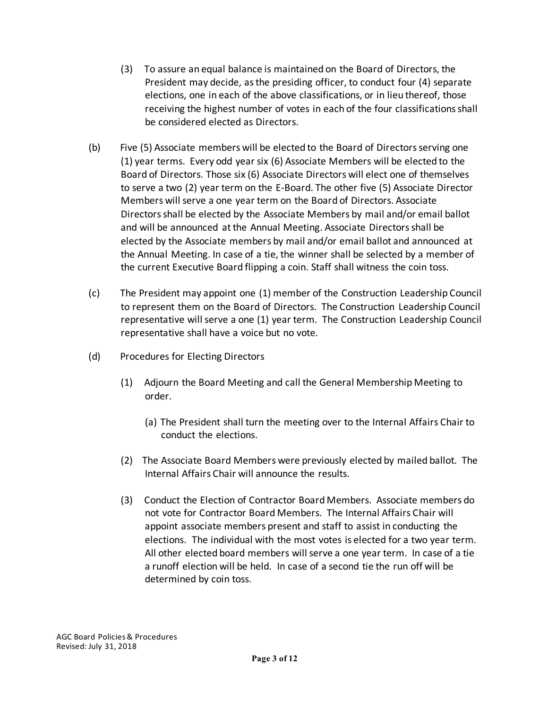- (3) To assure an equal balance is maintained on the Board of Directors, the President may decide, as the presiding officer, to conduct four (4) separate elections, one in each of the above classifications, or in lieu thereof, those receiving the highest number of votes in each of the four classifications shall be considered elected as Directors.
- (b) Five (5) Associate members will be elected to the Board of Directors serving one (1) year terms. Every odd year six (6) Associate Members will be elected to the Board of Directors. Those six (6) Associate Directors will elect one of themselves to serve a two (2) year term on the E-Board. The other five (5) Associate Director Members will serve a one year term on the Board of Directors. Associate Directors shall be elected by the Associate Members by mail and/or email ballot and will be announced at the Annual Meeting. Associate Directors shall be elected by the Associate members by mail and/or email ballot and announced at the Annual Meeting. In case of a tie, the winner shall be selected by a member of the current Executive Board flipping a coin. Staff shall witness the coin toss.
- (c) The President may appoint one (1) member of the Construction Leadership Council to represent them on the Board of Directors. The Construction Leadership Council representative will serve a one (1) year term. The Construction Leadership Council representative shall have a voice but no vote.
- (d) Procedures for Electing Directors
	- (1) Adjourn the Board Meeting and call the General Membership Meeting to order.
		- (a) The President shall turn the meeting over to the Internal Affairs Chair to conduct the elections.
	- (2) The Associate Board Members were previously elected by mailed ballot. The Internal Affairs Chair will announce the results.
	- (3) Conduct the Election of Contractor Board Members. Associate members do not vote for Contractor Board Members. The Internal Affairs Chair will appoint associate members present and staff to assist in conducting the elections. The individual with the most votes is elected for a two year term. All other elected board members will serve a one year term. In case of a tie a runoff election will be held. In case of a second tie the run off will be determined by coin toss.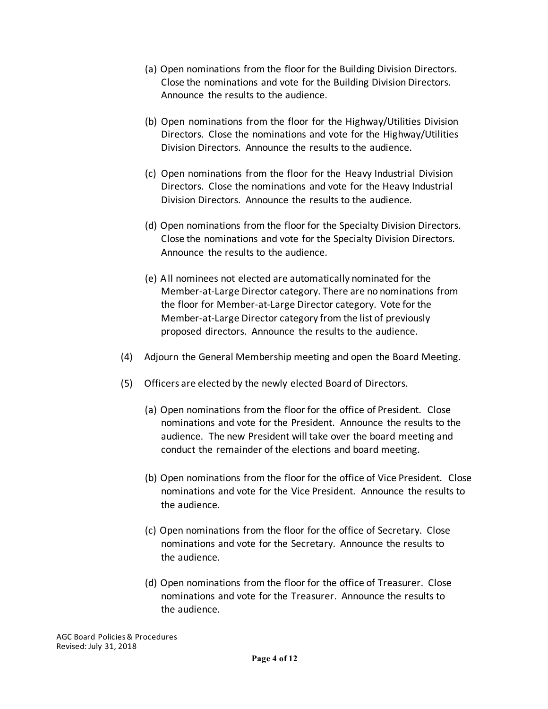- (a) Open nominations from the floor for the Building Division Directors. Close the nominations and vote for the Building Division Directors. Announce the results to the audience.
- (b) Open nominations from the floor for the Highway/Utilities Division Directors. Close the nominations and vote for the Highway/Utilities Division Directors. Announce the results to the audience.
- (c) Open nominations from the floor for the Heavy Industrial Division Directors. Close the nominations and vote for the Heavy Industrial Division Directors. Announce the results to the audience.
- (d) Open nominations from the floor for the Specialty Division Directors. Close the nominations and vote for the Specialty Division Directors. Announce the results to the audience.
- (e) All nominees not elected are automatically nominated for the Member-at-Large Director category. There are no nominations from the floor for Member-at-Large Director category. Vote for the Member-at-Large Director category from the list of previously proposed directors. Announce the results to the audience.
- (4) Adjourn the General Membership meeting and open the Board Meeting.
- (5) Officers are elected by the newly elected Board of Directors.
	- (a) Open nominations from the floor for the office of President. Close nominations and vote for the President. Announce the results to the audience. The new President will take over the board meeting and conduct the remainder of the elections and board meeting.
	- (b) Open nominations from the floor for the office of Vice President. Close nominations and vote for the Vice President. Announce the results to the audience.
	- (c) Open nominations from the floor for the office of Secretary. Close nominations and vote for the Secretary. Announce the results to the audience.
	- (d) Open nominations from the floor for the office of Treasurer. Close nominations and vote for the Treasurer. Announce the results to the audience.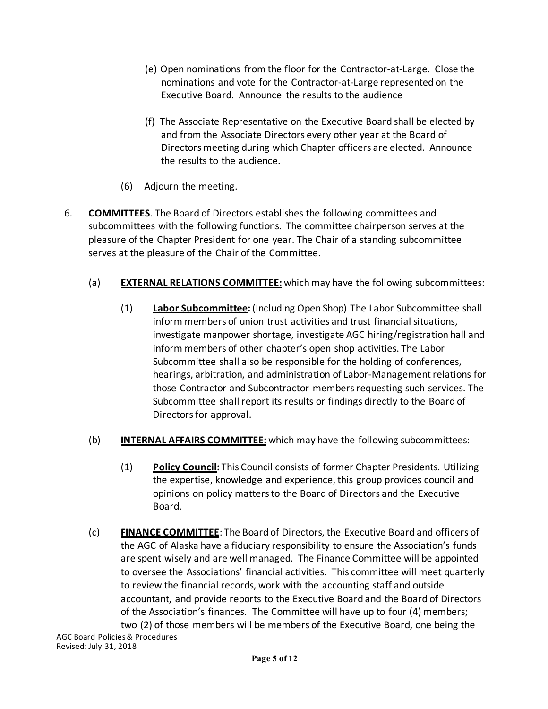- (e) Open nominations from the floor for the Contractor-at-Large. Close the nominations and vote for the Contractor-at-Large represented on the Executive Board. Announce the results to the audience
- (f) The Associate Representative on the Executive Board shall be elected by and from the Associate Directors every other year at the Board of Directors meeting during which Chapter officers are elected. Announce the results to the audience.
- (6) Adjourn the meeting.
- 6. **COMMITTEES**. The Board of Directors establishes the following committees and subcommittees with the following functions. The committee chairperson serves at the pleasure of the Chapter President for one year. The Chair of a standing subcommittee serves at the pleasure of the Chair of the Committee.
	- (a) **EXTERNAL RELATIONS COMMITTEE:** which may have the following subcommittees:
		- (1) **Labor Subcommittee:** (Including Open Shop) The Labor Subcommittee shall inform members of union trust activities and trust financial situations, investigate manpower shortage, investigate AGC hiring/registration hall and inform members of other chapter's open shop activities. The Labor Subcommittee shall also be responsible for the holding of conferences, hearings, arbitration, and administration of Labor-Management relations for those Contractor and Subcontractor members requesting such services. The Subcommittee shall report its results or findings directly to the Board of Directors for approval.
	- (b) **INTERNAL AFFAIRS COMMITTEE:** which may have the following subcommittees:
		- (1) **Policy Council:** This Council consists of former Chapter Presidents. Utilizing the expertise, knowledge and experience, this group provides council and opinions on policy matters to the Board of Directors and the Executive Board.
	- (c) **FINANCE COMMITTEE**: The Board of Directors, the Executive Board and officers of the AGC of Alaska have a fiduciary responsibility to ensure the Association's funds are spent wisely and are well managed. The Finance Committee will be appointed to oversee the Associations' financial activities. This committee will meet quarterly to review the financial records, work with the accounting staff and outside accountant, and provide reports to the Executive Board and the Board of Directors of the Association's finances. The Committee will have up to four (4) members; two (2) of those members will be members of the Executive Board, one being the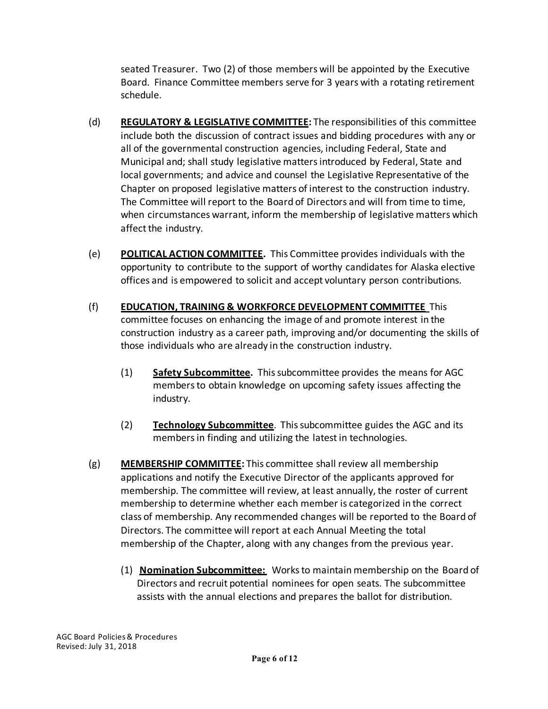seated Treasurer. Two (2) of those members will be appointed by the Executive Board. Finance Committee members serve for 3 years with a rotating retirement schedule.

- (d) **REGULATORY & LEGISLATIVE COMMITTEE:** The responsibilities of this committee include both the discussion of contract issues and bidding procedures with any or all of the governmental construction agencies, including Federal, State and Municipal and; shall study legislative matters introduced by Federal, State and local governments; and advice and counsel the Legislative Representative of the Chapter on proposed legislative matters of interest to the construction industry. The Committee will report to the Board of Directors and will from time to time, when circumstances warrant, inform the membership of legislative matters which affect the industry.
- (e) **POLITICAL ACTION COMMITTEE.** This Committee provides individuals with the opportunity to contribute to the support of worthy candidates for Alaska elective offices and is empowered to solicit and accept voluntary person contributions.
- (f) **EDUCATION, TRAINING & WORKFORCE DEVELOPMENT COMMITTEE** This committee focuses on enhancing the image of and promote interest in the construction industry as a career path, improving and/or documenting the skills of those individuals who are already in the construction industry.
	- (1) **Safety Subcommittee.** This subcommittee provides the means for AGC members to obtain knowledge on upcoming safety issues affecting the industry.
	- (2) **Technology Subcommittee**. This subcommittee guides the AGC and its members in finding and utilizing the latest in technologies.
- (g) **MEMBERSHIP COMMITTEE:** This committee shall review all membership applications and notify the Executive Director of the applicants approved for membership. The committee will review, at least annually, the roster of current membership to determine whether each member is categorized in the correct class of membership. Any recommended changes will be reported to the Board of Directors. The committee will report at each Annual Meeting the total membership of the Chapter, along with any changes from the previous year.
	- (1) **Nomination Subcommittee:** Works to maintain membership on the Board of Directors and recruit potential nominees for open seats. The subcommittee assists with the annual elections and prepares the ballot for distribution.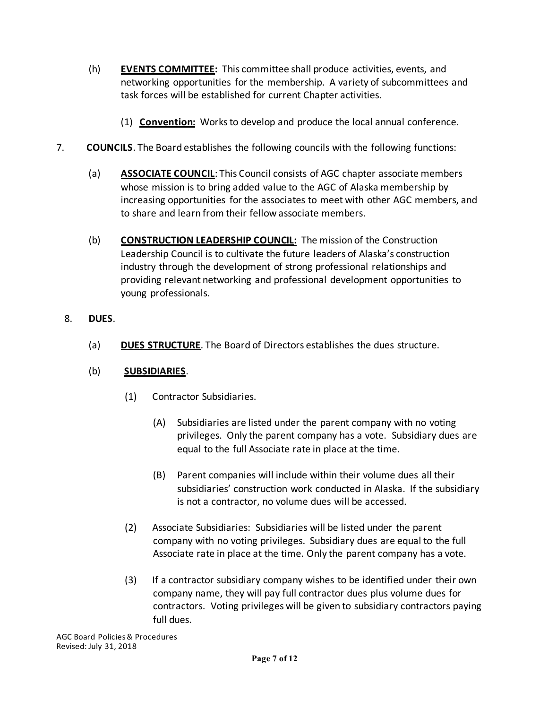- (h) **EVENTS COMMITTEE:** This committee shall produce activities, events, and networking opportunities for the membership. A variety of subcommittees and task forces will be established for current Chapter activities.
	- (1) **Convention:** Works to develop and produce the local annual conference.
- 7. **COUNCILS**. The Board establishes the following councils with the following functions:
	- (a) **ASSOCIATE COUNCIL**: This Council consists of AGC chapter associate members whose mission is to bring added value to the AGC of Alaska membership by increasing opportunities for the associates to meet with other AGC members, and to share and learn from their fellow associate members.
	- (b) **CONSTRUCTION LEADERSHIP COUNCIL:** The mission of the Construction Leadership Council is to cultivate the future leaders of Alaska's construction industry through the development of strong professional relationships and providing relevant networking and professional development opportunities to young professionals.
	- 8. **DUES**.
		- (a) **DUES STRUCTURE**. The Board of Directors establishes the dues structure.

#### (b) **SUBSIDIARIES**.

- (1) Contractor Subsidiaries.
	- (A) Subsidiaries are listed under the parent company with no voting privileges. Only the parent company has a vote. Subsidiary dues are equal to the full Associate rate in place at the time.
	- (B) Parent companies will include within their volume dues all their subsidiaries' construction work conducted in Alaska. If the subsidiary is not a contractor, no volume dues will be accessed.
- (2) Associate Subsidiaries: Subsidiaries will be listed under the parent company with no voting privileges. Subsidiary dues are equal to the full Associate rate in place at the time. Only the parent company has a vote.
- (3) If a contractor subsidiary company wishes to be identified under their own company name, they will pay full contractor dues plus volume dues for contractors. Voting privileges will be given to subsidiary contractors paying full dues.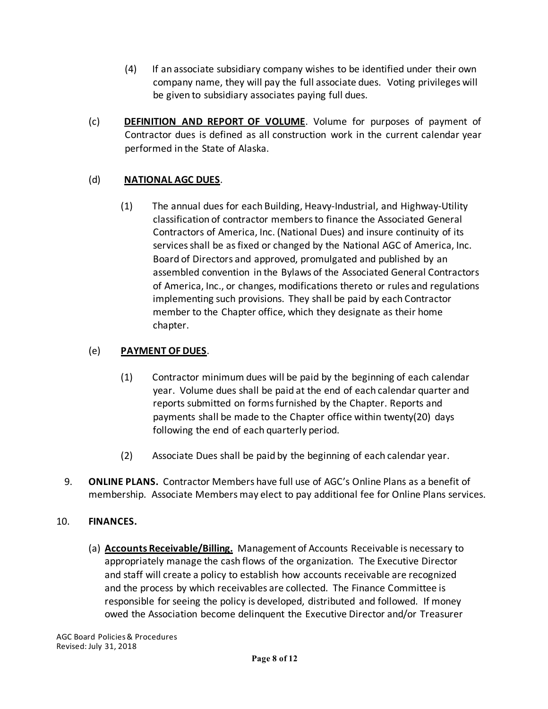- (4) If an associate subsidiary company wishes to be identified under their own company name, they will pay the full associate dues. Voting privileges will be given to subsidiary associates paying full dues.
- (c) **DEFINITION AND REPORT OF VOLUME**. Volume for purposes of payment of Contractor dues is defined as all construction work in the current calendar year performed in the State of Alaska.

#### (d) **NATIONAL AGC DUES**.

(1) The annual dues for each Building, Heavy-Industrial, and Highway-Utility classification of contractor members to finance the Associated General Contractors of America, Inc. (National Dues) and insure continuity of its services shall be as fixed or changed by the National AGC of America, Inc. Board of Directors and approved, promulgated and published by an assembled convention in the Bylaws of the Associated General Contractors of America, Inc., or changes, modifications thereto or rules and regulations implementing such provisions. They shall be paid by each Contractor member to the Chapter office, which they designate as their home chapter.

#### (e) **PAYMENT OF DUES**.

- (1) Contractor minimum dues will be paid by the beginning of each calendar year. Volume dues shall be paid at the end of each calendar quarter and reports submitted on forms furnished by the Chapter. Reports and payments shall be made to the Chapter office within twenty(20) days following the end of each quarterly period.
- (2) Associate Dues shall be paid by the beginning of each calendar year.
- 9. **ONLINE PLANS.** Contractor Members have full use of AGC's Online Plans as a benefit of membership. Associate Members may elect to pay additional fee for Online Plans services.

#### 10. **FINANCES.**

(a) **Accounts Receivable/Billing.** Management of Accounts Receivable is necessary to appropriately manage the cash flows of the organization. The Executive Director and staff will create a policy to establish how accounts receivable are recognized and the process by which receivables are collected. The Finance Committee is responsible for seeing the policy is developed, distributed and followed. If money owed the Association become delinquent the Executive Director and/or Treasurer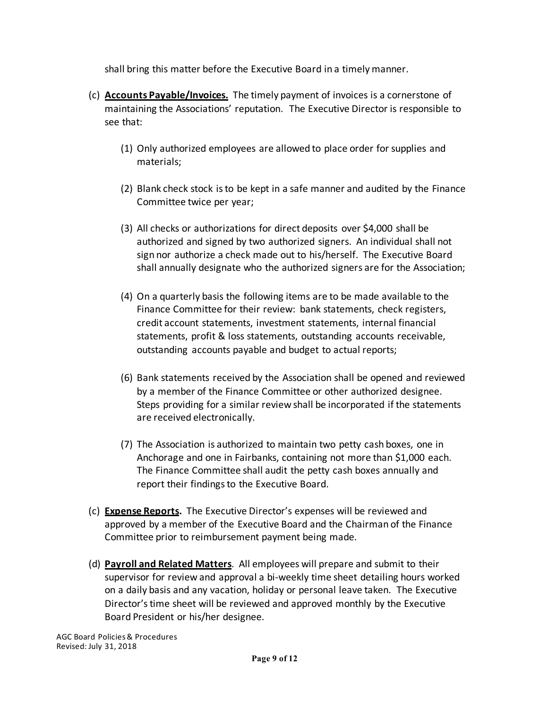shall bring this matter before the Executive Board in a timely manner.

- (c) **Accounts Payable/Invoices.** The timely payment of invoices is a cornerstone of maintaining the Associations' reputation. The Executive Director is responsible to see that:
	- (1) Only authorized employees are allowed to place order for supplies and materials;
	- (2) Blank check stock is to be kept in a safe manner and audited by the Finance Committee twice per year;
	- (3) All checks or authorizations for direct deposits over \$4,000 shall be authorized and signed by two authorized signers. An individual shall not sign nor authorize a check made out to his/herself. The Executive Board shall annually designate who the authorized signers are for the Association;
	- (4) On a quarterly basis the following items are to be made available to the Finance Committee for their review: bank statements, check registers, credit account statements, investment statements, internal financial statements, profit & loss statements, outstanding accounts receivable, outstanding accounts payable and budget to actual reports;
	- (6) Bank statements received by the Association shall be opened and reviewed by a member of the Finance Committee or other authorized designee. Steps providing for a similar review shall be incorporated if the statements are received electronically.
	- (7) The Association is authorized to maintain two petty cash boxes, one in Anchorage and one in Fairbanks, containing not more than \$1,000 each. The Finance Committee shall audit the petty cash boxes annually and report their findings to the Executive Board.
- (c) **Expense Reports.** The Executive Director's expenses will be reviewed and approved by a member of the Executive Board and the Chairman of the Finance Committee prior to reimbursement payment being made.
- (d) **Payroll and Related Matters**. All employees will prepare and submit to their supervisor for review and approval a bi-weekly time sheet detailing hours worked on a daily basis and any vacation, holiday or personal leave taken. The Executive Director's time sheet will be reviewed and approved monthly by the Executive Board President or his/her designee.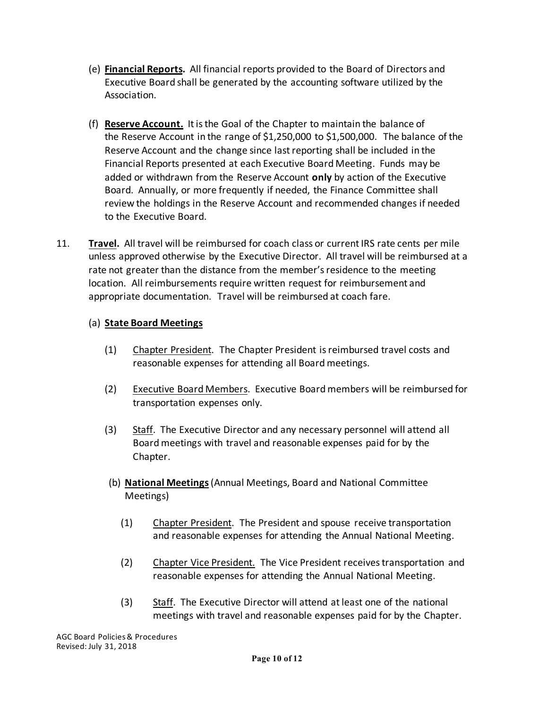- (e) **Financial Reports.** All financial reports provided to the Board of Directors and Executive Board shall be generated by the accounting software utilized by the Association.
- (f) **Reserve Account.** It is the Goal of the Chapter to maintain the balance of the Reserve Account in the range of \$1,250,000 to \$1,500,000. The balance of the Reserve Account and the change since last reporting shall be included in the Financial Reports presented at each Executive Board Meeting. Funds may be added or withdrawn from the Reserve Account **only** by action of the Executive Board. Annually, or more frequently if needed, the Finance Committee shall review the holdings in the Reserve Account and recommended changes if needed to the Executive Board.
- 11. **Travel.** All travel will be reimbursed for coach class or current IRS rate cents per mile unless approved otherwise by the Executive Director. All travel will be reimbursed at a rate not greater than the distance from the member's residence to the meeting location. All reimbursements require written request for reimbursement and appropriate documentation. Travel will be reimbursed at coach fare.

#### (a) **State Board Meetings**

- (1) Chapter President. The Chapter President isreimbursed travel costs and reasonable expenses for attending all Board meetings.
- (2) Executive Board Members. Executive Board members will be reimbursed for transportation expenses only.
- (3) Staff. The Executive Director and any necessary personnel will attend all Board meetings with travel and reasonable expenses paid for by the Chapter.
- (b) **National Meetings**(Annual Meetings, Board and National Committee Meetings)
	- (1) Chapter President. The President and spouse receive transportation and reasonable expenses for attending the Annual National Meeting.
	- (2) Chapter Vice President. The Vice President receives transportation and reasonable expenses for attending the Annual National Meeting.
	- (3) Staff. The Executive Director will attend at least one of the national meetings with travel and reasonable expenses paid for by the Chapter.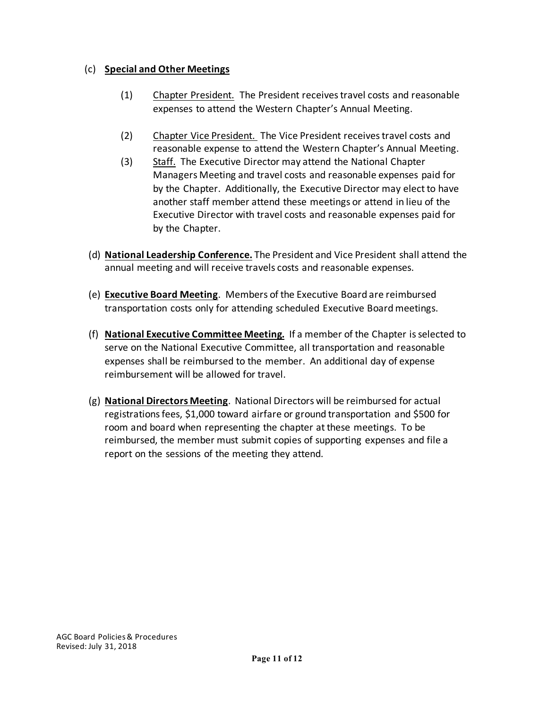#### (c) **Special and Other Meetings**

- (1) Chapter President. The President receives travel costs and reasonable expenses to attend the Western Chapter's Annual Meeting.
- (2) Chapter Vice President. The Vice President receives travel costs and reasonable expense to attend the Western Chapter's Annual Meeting.
- (3) Staff. The Executive Director may attend the National Chapter Managers Meeting and travel costs and reasonable expenses paid for by the Chapter. Additionally, the Executive Director may elect to have another staff member attend these meetings or attend in lieu of the Executive Director with travel costs and reasonable expenses paid for by the Chapter.
- (d) **National Leadership Conference.** The President and Vice President shall attend the annual meeting and will receive travels costs and reasonable expenses.
- (e) **Executive Board Meeting**. Members of the Executive Board are reimbursed transportation costs only for attending scheduled Executive Board meetings.
- (f) **National Executive Committee Meeting.** If a member of the Chapter is selected to serve on the National Executive Committee, all transportation and reasonable expenses shall be reimbursed to the member. An additional day of expense reimbursement will be allowed for travel.
- (g) **National Directors Meeting**. National Directors will be reimbursed for actual registrations fees, \$1,000 toward airfare or ground transportation and \$500 for room and board when representing the chapter at these meetings. To be reimbursed, the member must submit copies of supporting expenses and file a report on the sessions of the meeting they attend.